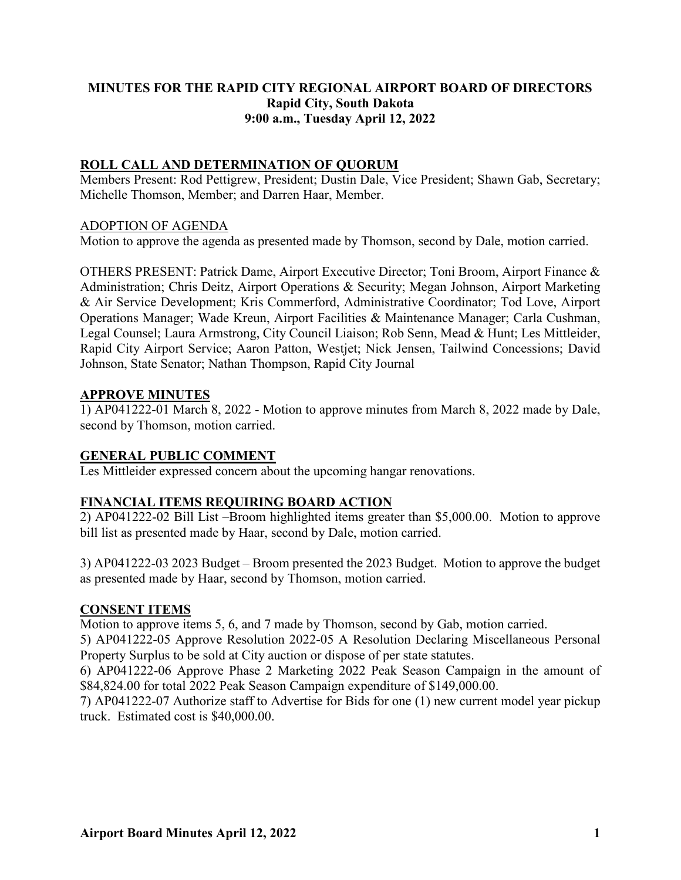## **MINUTES FOR THE RAPID CITY REGIONAL AIRPORT BOARD OF DIRECTORS Rapid City, South Dakota 9:00 a.m., Tuesday April 12, 2022**

# **ROLL CALL AND DETERMINATION OF QUORUM**

Members Present: Rod Pettigrew, President; Dustin Dale, Vice President; Shawn Gab, Secretary; Michelle Thomson, Member; and Darren Haar, Member.

#### ADOPTION OF AGENDA

Motion to approve the agenda as presented made by Thomson, second by Dale, motion carried.

OTHERS PRESENT: Patrick Dame, Airport Executive Director; Toni Broom, Airport Finance & Administration; Chris Deitz, Airport Operations & Security; Megan Johnson, Airport Marketing & Air Service Development; Kris Commerford, Administrative Coordinator; Tod Love, Airport Operations Manager; Wade Kreun, Airport Facilities & Maintenance Manager; Carla Cushman, Legal Counsel; Laura Armstrong, City Council Liaison; Rob Senn, Mead & Hunt; Les Mittleider, Rapid City Airport Service; Aaron Patton, Westjet; Nick Jensen, Tailwind Concessions; David Johnson, State Senator; Nathan Thompson, Rapid City Journal

#### **APPROVE MINUTES**

1) AP041222-01 March 8, 2022 - Motion to approve minutes from March 8, 2022 made by Dale, second by Thomson, motion carried.

### **GENERAL PUBLIC COMMENT**

Les Mittleider expressed concern about the upcoming hangar renovations.

### **FINANCIAL ITEMS REQUIRING BOARD ACTION**

2) AP041222-02 Bill List –Broom highlighted items greater than \$5,000.00. Motion to approve bill list as presented made by Haar, second by Dale, motion carried.

3) AP041222-03 2023 Budget – Broom presented the 2023 Budget. Motion to approve the budget as presented made by Haar, second by Thomson, motion carried.

### **CONSENT ITEMS**

Motion to approve items 5, 6, and 7 made by Thomson, second by Gab, motion carried.

5) AP041222-05 Approve Resolution 2022-05 A Resolution Declaring Miscellaneous Personal Property Surplus to be sold at City auction or dispose of per state statutes.

6) AP041222-06 Approve Phase 2 Marketing 2022 Peak Season Campaign in the amount of \$84,824.00 for total 2022 Peak Season Campaign expenditure of \$149,000.00.

7) AP041222-07 Authorize staff to Advertise for Bids for one (1) new current model year pickup truck. Estimated cost is \$40,000.00.